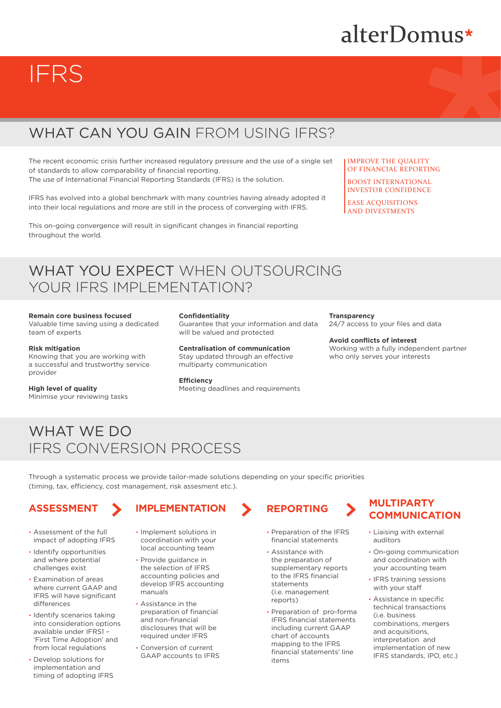# alterDomus\*

# IFRS

# WHAT CAN YOU GAIN FROM USING IFRS?

The recent economic crisis further increased regulatory pressure and the use of a single set of standards to allow comparability of financial reporting.

The use of International Financial Reporting Standards (IFRS) is the solution.

IFRS has evolved into a global benchmark with many countries having already adopted it into their local regulations and more are still in the process of converging with IFRS.

This on-going convergence will result in significant changes in financial reporting throughout the world.

## IMPROVE THE QUALITY OF FINANCIAL REPORTING

BOOST INTERNATIONAL INVESTOR CONFIDENCE

EASE ACQUISITIONS AND DIVESTMENTS

# WHAT YOU EXPECT WHEN OUTSOURCING YOUR IFRS IMPLEMENTATION?

### **Remain core business focused**

Valuable time saving using a dedicated team of experts

### **Risk mitigation**

Knowing that you are working with a successful and trustworthy service provider

### **High level of quality**

Minimise your reviewing tasks

### **Confidentiality**

Guarantee that your information and data will be valued and protected

**Centralisation of communication**  Stay updated through an effective multiparty communication

## **Efficiency**

Meeting deadlines and requirements

# **Transparency**

24/7 access to your files and data

# **Avoid conflicts of interest**

Working with a fully independent partner who only serves your interests

# WHAT WE DO IFRS CONVERSION PROCESS

Through a systematic process we provide tailor-made solutions depending on your specific priorities (timing, tax, efficiency, cost management, risk assesment etc.).

- Assessment of the full impact of adopting IFRS
- Identify opportunities and where potential challenges exist
- Examination of areas where current GAAP and IFRS will have significant differences
- Identify scenarios taking into consideration options available under IFRS1 – 'First Time Adoption' and from local regulations
- Develop solutions for implementation and timing of adopting IFRS

- Implement solutions in coordination with your local accounting team
- Provide guidance in the selection of IFRS accounting policies and develop IFRS accounting manuals
- Assistance in the preparation of financial and non-financial disclosures that will be required under IFRS
- Conversion of current GAAP accounts to IFRS

- Preparation of the IFRS financial statements
- Assistance with the preparation of supplementary reports to the IFRS financial statements (i.e. management reports)
- Preparation of pro-forma IFRS financial statements including current GAAP chart of accounts mapping to the IFRS financial statements' line items

# **ASSESSMENT IMPLEMENTATION REPORTING MULTIPARTY COMMUNICATION**

- Liaising with external auditors
- On-going communication and coordination with your accounting team
- IFRS training sessions with your staff
- Assistance in specific technical transactions (i.e. business combinations, mergers and acquisitions, interpretation and implementation of new IFRS standards, IPO, etc.)